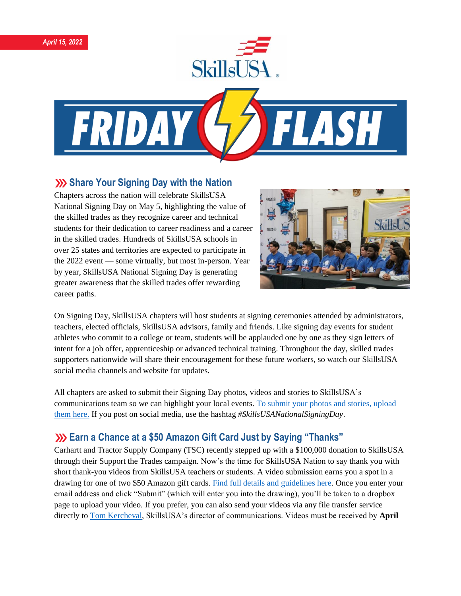



## **Share Your Signing Day with the Nation**

Chapters across the nation will celebrate SkillsUSA National Signing Day on May 5, highlighting the value of the skilled trades as they recognize career and technical students for their dedication to career readiness and a career in the skilled trades. Hundreds of SkillsUSA schools in over 25 states and territories are expected to participate in the 2022 event — some virtually, but most in-person. Year by year, SkillsUSA National Signing Day is generating greater awareness that the skilled trades offer rewarding career paths.



On Signing Day, SkillsUSA chapters will host students at signing ceremonies attended by administrators, teachers, elected officials, SkillsUSA advisors, family and friends. Like signing day events for student athletes who commit to a college or team, students will be applauded one by one as they sign letters of intent for a job offer, apprenticeship or advanced technical training. Throughout the day, skilled trades supporters nationwide will share their encouragement for these future workers, so watch our SkillsUSA social media channels and website for updates.

All chapters are asked to submit their Signing Day photos, videos and stories to SkillsUSA's communications team so we can highlight your local events. [To submit your photos and stories, upload](https://skillsusa.wufoo.com/forms/2022-skillsusa-signing-day)  [them here.](https://skillsusa.wufoo.com/forms/2022-skillsusa-signing-day) If you post on social media, use the hashtag *#SkillsUSANationalSigningDay*.

# **Earn a Chance at a \$50 Amazon Gift Card Just by Saying "Thanks"**

Carhartt and Tractor Supply Company (TSC) recently stepped up with a \$100,000 donation to SkillsUSA through their Support the Trades campaign. Now's the time for SkillsUSA Nation to say thank you with short thank-you videos from SkillsUSA teachers or students. A video submission earns you a spot in a drawing for one of two \$50 Amazon gift cards. [Find full details and guidelines here.](https://skillsusa.wufoo.com/forms/carhartttsc-thank-you-videos) Once you enter your email address and click "Submit" (which will enter you into the drawing), you'll be taken to a dropbox page to upload your video. If you prefer, you can also send your videos via any file transfer service directly t[o Tom Kercheval,](mailto:tkercheval@skillsusa.org) SkillsUSA's director of communications. Videos must be received by **April**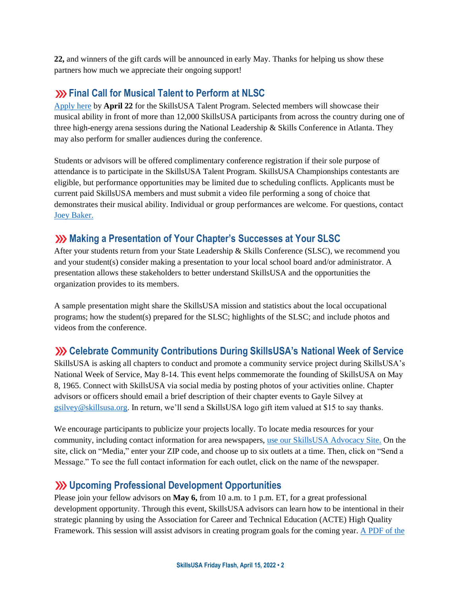**22,** and winners of the gift cards will be announced in early May. Thanks for helping us show these partners how much we appreciate their ongoing support!

### **EXAGO FINAL CALLY FOR MUSICAL TALENT TO PERFORM AT NUCLEAR FINAL CONTROVIDUAL ST**

[Apply here](https://skillsusa.wufoo.com/forms/r3mvb5155fzzs/) by **April 22** for the SkillsUSA Talent Program. Selected members will showcase their musical ability in front of more than 12,000 SkillsUSA participants from across the country during one of three high-energy arena sessions during the National Leadership & Skills Conference in Atlanta. They may also perform for smaller audiences during the conference.

Students or advisors will be offered complimentary conference registration if their sole purpose of attendance is to participate in the SkillsUSA Talent Program. SkillsUSA Championships contestants are eligible, but performance opportunities may be limited due to scheduling conflicts. Applicants must be current paid SkillsUSA members and must submit a video file performing a song of choice that demonstrates their musical ability. Individual or group performances are welcome. For questions, contact [Joey Baker.](mailto:jbaker@skillsusa.org)

## **XXX** Making a Presentation of Your Chapter's Successes at Your SLSC

After your students return from your State Leadership & Skills Conference (SLSC), we recommend you and your student(s) consider making a presentation to your local school board and/or administrator. A presentation allows these stakeholders to better understand SkillsUSA and the opportunities the organization provides to its members.

A sample presentation might share the SkillsUSA mission and statistics about the local occupational programs; how the student(s) prepared for the SLSC; highlights of the SLSC; and include photos and videos from the conference.

### **Celebrate Community Contributions During SkillsUSA's National Week of Service**

SkillsUSA is asking all chapters to conduct and promote a community service project during SkillsUSA's National Week of Service, May 8-14. This event helps commemorate the founding of SkillsUSA on May 8, 1965. Connect with SkillsUSA via social media by posting photos of your activities online. Chapter advisors or officers should email a brief description of their chapter events to Gayle Silvey at [gsilvey@skillsusa.org.](mailto:gsilvey@skillsusa.org) In return, we'll send a SkillsUSA logo gift item valued at \$15 to say thanks.

We encourage participants to publicize your projects locally. To locate media resources for your community, including contact information for area newspapers, [use our SkillsUSA Advocacy Site.](https://www.congressweb.com/susa#/media) On the site, click on "Media," enter your ZIP code, and choose up to six outlets at a time. Then, click on "Send a Message." To see the full contact information for each outlet, click on the name of the newspaper.

### **Upcoming Professional Development Opportunities**

Please join your fellow advisors on **May 6,** from 10 a.m. to 1 p.m. ET, for a great professional development opportunity. Through this event, SkillsUSA advisors can learn how to be intentional in their strategic planning by using the Association for Career and Technical Education (ACTE) High Quality Framework. This session will assist advisors in creating program goals for the coming year[. A PDF of the](https://www.skillsusa.org/wp-content/uploads/2021/12/Professional-Development-Offerings-SPRING-2022.pdf)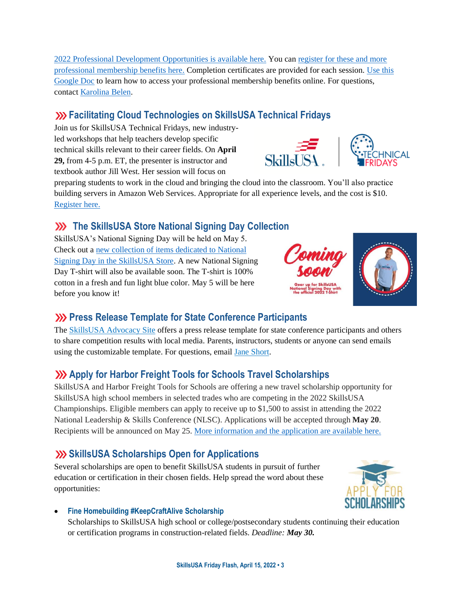[2022 Professional Development Opportunities is available here.](https://www.skillsusa.org/wp-content/uploads/2021/12/Professional-Development-Offerings-SPRING-2022.pdf) You can [register for these and more](https://absorb.skillsusa.org/#/public-dashboard)  [professional membership benefits here.](https://absorb.skillsusa.org/#/public-dashboard) Completion certificates are provided for each session. [Use this](https://docs.google.com/document/d/1d2EvwsmdelNzm-WK7pTGSokJTbWZXcFDOODai32SGzk/edit)  [Google Doc](https://docs.google.com/document/d/1d2EvwsmdelNzm-WK7pTGSokJTbWZXcFDOODai32SGzk/edit) to learn how to access your professional membership benefits online. For questions, contact [Karolina Belen.](mailto:kbelen@skillsusa.org)

# **Facilitating Cloud Technologies on SkillsUSA Technical Fridays**

Join us for SkillsUSA Technical Fridays, new industryled workshops that help teachers develop specific technical skills relevant to their career fields. On **April 29,** from 4-5 p.m. ET, the presenter is instructor and textbook author Jill West. Her session will focus on

preparing students to work in the cloud and bringing the cloud into the classroom. You'll also practice building servers in Amazon Web Services. Appropriate for all experience levels, and the cost is \$10. [Register here.](https://skillsusa.wufoo.com/forms/love-and-logic-and-technical-fridays-registration)

# **XX** The SkillsUSA Store National Signing Day Collection

SkillsUSA's National Signing Day will be held on May 5. Check out a [new collection of items dedicated to National](https://skillsusastore.org/products?s%5Bf%5D%5Bc%5D%5B%5D=%2FSkillsUSA+National+Signing+Day&s%5Bsort%5D=name_desc&s%5Bsort%5D=name_asc)  [Signing Day in the SkillsUSA Store.](https://skillsusastore.org/products?s%5Bf%5D%5Bc%5D%5B%5D=%2FSkillsUSA+National+Signing+Day&s%5Bsort%5D=name_desc&s%5Bsort%5D=name_asc) A new National Signing Day T-shirt will also be available soon. The T-shirt is 100% cotton in a fresh and fun light blue color. May 5 will be here before you know it!

# **XXX** Press Release Template for State Conference Participants

The [SkillsUSA Advocacy Site](https://www.congressweb.com/susa/#/) offers a press release template for state conference participants and others to share competition results with local media. Parents, instructors, students or anyone can send emails using the customizable template. For questions, email [Jane Short.](mailto:jshort@skillsusa.org)

# **Apply for Harbor Freight Tools for Schools Travel Scholarships**

SkillsUSA and Harbor Freight Tools for Schools are offering a new travel scholarship opportunity for SkillsUSA high school members in selected trades who are competing in the 2022 SkillsUSA Championships. Eligible members can apply to receive up to \$1,500 to assist in attending the 2022 National Leadership & Skills Conference (NLSC). Applications will be accepted through **May 20**. Recipients will be announced on May 25. More [information](https://skillsusa.wufoo.com/forms/rjr8ngm1s8mjnq) and the application are available here.

# **SkillsUSA Scholarships Open for Applications**

Several scholarships are open to benefit SkillsUSA students in pursuit of further education or certification in their chosen fields. Help spread the word about these opportunities:

• **Fine Homebuilding #KeepCraftAlive Scholarship**

Scholarships to SkillsUSA high school or college/postsecondary students continuing their education or certification programs in construction-related fields. *Deadline: May 30.*



 $S$ kills $\overline{I}$  $\overline{S}$ A